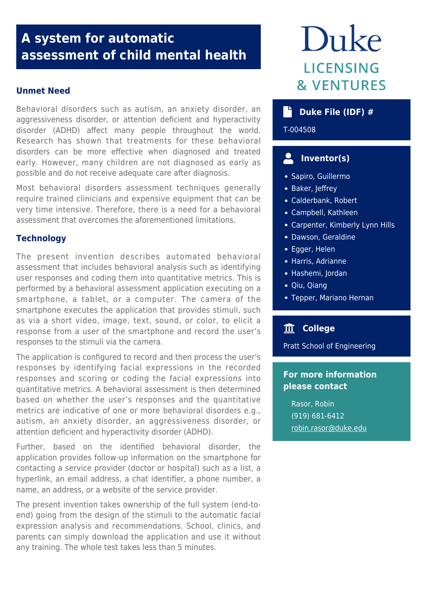## **A system for automatic assessment of child mental health**

## **Unmet Need**

Behavioral disorders such as autism, an anxiety disorder, an aggressiveness disorder, or attention deficient and hyperactivity disorder (ADHD) affect many people throughout the world. Research has shown that treatments for these behavioral disorders can be more effective when diagnosed and treated early. However, many children are not diagnosed as early as possible and do not receive adequate care after diagnosis.

Most behavioral disorders assessment techniques generally require trained clinicians and expensive equipment that can be very time intensive. Therefore, there is a need for a behavioral assessment that overcomes the aforementioned limitations.

## **Technology**

The present invention describes automated behavioral assessment that includes behavioral analysis such as identifying user responses and coding them into quantitative metrics. This is performed by a behavioral assessment application executing on a smartphone, a tablet, or a computer. The camera of the smartphone executes the application that provides stimuli, such as via a short video, image, text, sound, or color, to elicit a response from a user of the smartphone and record the user's responses to the stimuli via the camera.

The application is configured to record and then process the user's responses by identifying facial expressions in the recorded responses and scoring or coding the facial expressions into quantitative metrics. A behavioral assessment is then determined based on whether the user's responses and the quantitative metrics are indicative of one or more behavioral disorders e.g., autism, an anxiety disorder, an aggressiveness disorder, or attention deficient and hyperactivity disorder (ADHD).

Further, based on the identified behavioral disorder, the application provides follow-up information on the smartphone for contacting a service provider (doctor or hospital) such as a list, a hyperlink, an email address, a chat identifier, a phone number, a name, an address, or a website of the service provider.

The present invention takes ownership of the full system (end-toend) going from the design of the stimuli to the automatic facial expression analysis and recommendations. School, clinics, and parents can simply download the application and use it without any training. The whole test takes less than 5 minutes.

# Duke **LICENSING & VENTURES**

## **b** Duke File (IDF) #

## T-004508

#### $\mathbf{L}$  **Inventor(s)**

- Sapiro, Guillermo
- Baker, Jeffrey
- Calderbank, Robert
- Campbell, Kathleen
- Carpenter, Kimberly Lynn Hills
- Dawson, Geraldine
- Egger, Helen
- Harris, Adrianne
- Hashemi, Jordan
- Qiu, Qiang
- Tepper, Mariano Hernan

## **College**

Pratt School of Engineering

## **For more information please contact**

Rasor, Robin (919) 681-6412 [robin.rasor@duke.edu](mailto:robin.rasor@duke.edu)